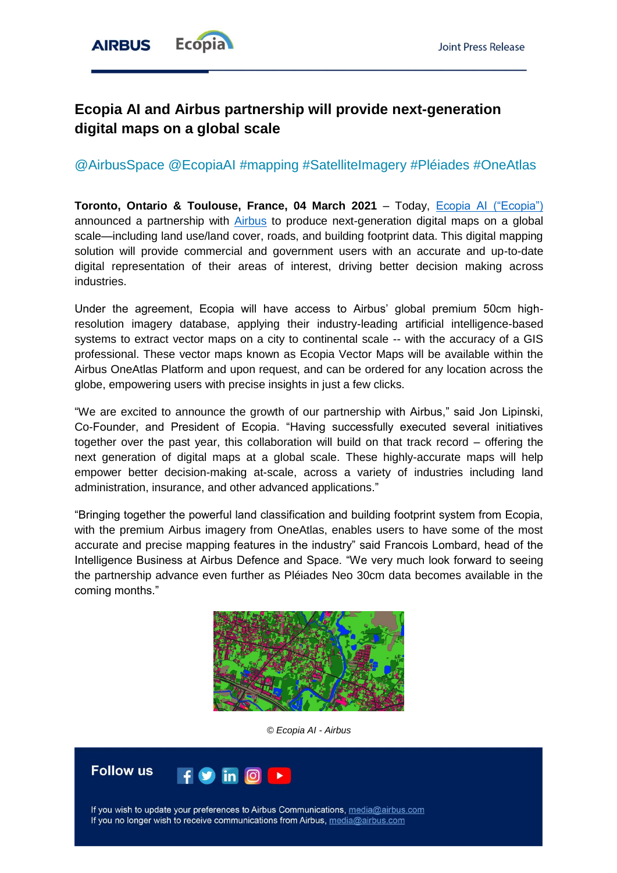

# **Ecopia AI and Airbus partnership will provide next-generation digital maps on a global scale**

# @AirbusSpace @EcopiaAI #mapping #SatelliteImagery #Pléiades #OneAtlas

**Toronto, Ontario & Toulouse, France, 04 March 2021** – Today, [Ecopia AI \("Ecopia"\)](http://www.ecopiatech.com/) announced a partnership with [Airbus](https://www.intelligence-airbusds.com/) to produce next-generation digital maps on a global scale—including land use/land cover, roads, and building footprint data. This digital mapping solution will provide commercial and government users with an accurate and up-to-date digital representation of their areas of interest, driving better decision making across industries.

Under the agreement, Ecopia will have access to Airbus' global premium 50cm highresolution imagery database, applying their industry-leading artificial intelligence-based systems to extract vector maps on a city to continental scale -- with the accuracy of a GIS professional. These vector maps known as Ecopia Vector Maps will be available within the Airbus OneAtlas Platform and upon request, and can be ordered for any location across the globe, empowering users with precise insights in just a few clicks.

"We are excited to announce the growth of our partnership with Airbus," said Jon Lipinski, Co-Founder, and President of Ecopia. "Having successfully executed several initiatives together over the past year, this collaboration will build on that track record – offering the next generation of digital maps at a global scale. These highly-accurate maps will help empower better decision-making at-scale, across a variety of industries including land administration, insurance, and other advanced applications."

"Bringing together the powerful land classification and building footprint system from Ecopia, with the premium Airbus imagery from OneAtlas, enables users to have some of the most accurate and precise mapping features in the industry" said Francois Lombard, head of the Intelligence Business at Airbus Defence and Space. "We very much look forward to seeing the partnership advance even further as Pléiades Neo 30cm data becomes available in the coming months."



*© Ecopia AI - Airbus*



If you wish to update your preferences to Airbus Communications, media@airbus.com If you no longer wish to receive communications from Airbus, media@airbus.com